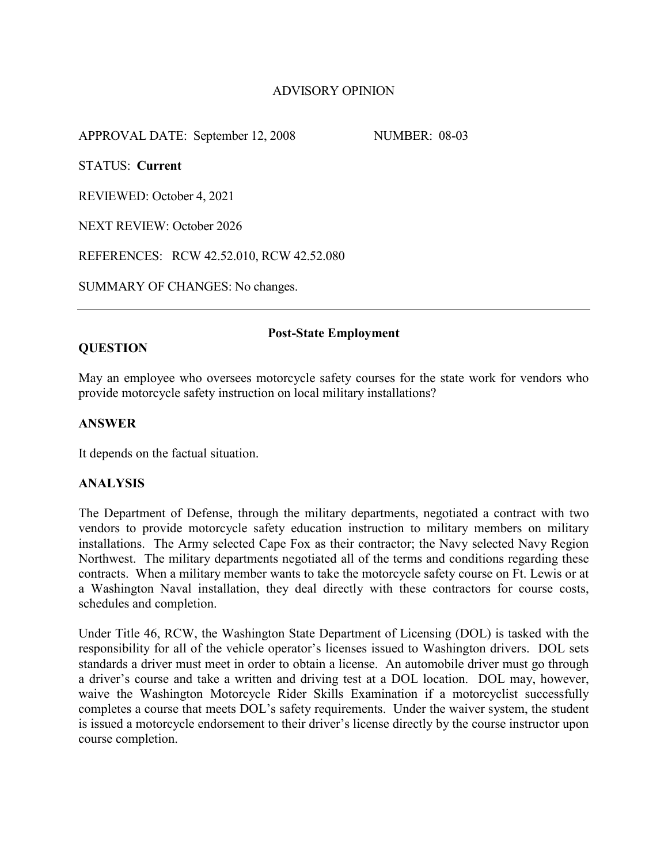# ADVISORY OPINION

APPROVAL DATE: September 12, 2008 NUMBER: 08-03

STATUS: **Current**

REVIEWED: October 4, 2021

NEXT REVIEW: October 2026

REFERENCES: RCW 42.52.010, RCW 42.52.080

SUMMARY OF CHANGES: No changes.

## **QUESTION**

### **Post-State Employment**

May an employee who oversees motorcycle safety courses for the state work for vendors who provide motorcycle safety instruction on local military installations?

## **ANSWER**

It depends on the factual situation.

## **ANALYSIS**

The Department of Defense, through the military departments, negotiated a contract with two vendors to provide motorcycle safety education instruction to military members on military installations. The Army selected Cape Fox as their contractor; the Navy selected Navy Region Northwest. The military departments negotiated all of the terms and conditions regarding these contracts. When a military member wants to take the motorcycle safety course on Ft. Lewis or at a Washington Naval installation, they deal directly with these contractors for course costs, schedules and completion.

Under Title 46, RCW, the Washington State Department of Licensing (DOL) is tasked with the responsibility for all of the vehicle operator's licenses issued to Washington drivers. DOL sets standards a driver must meet in order to obtain a license. An automobile driver must go through a driver's course and take a written and driving test at a DOL location. DOL may, however, waive the Washington Motorcycle Rider Skills Examination if a motorcyclist successfully completes a course that meets DOL's safety requirements. Under the waiver system, the student is issued a motorcycle endorsement to their driver's license directly by the course instructor upon course completion.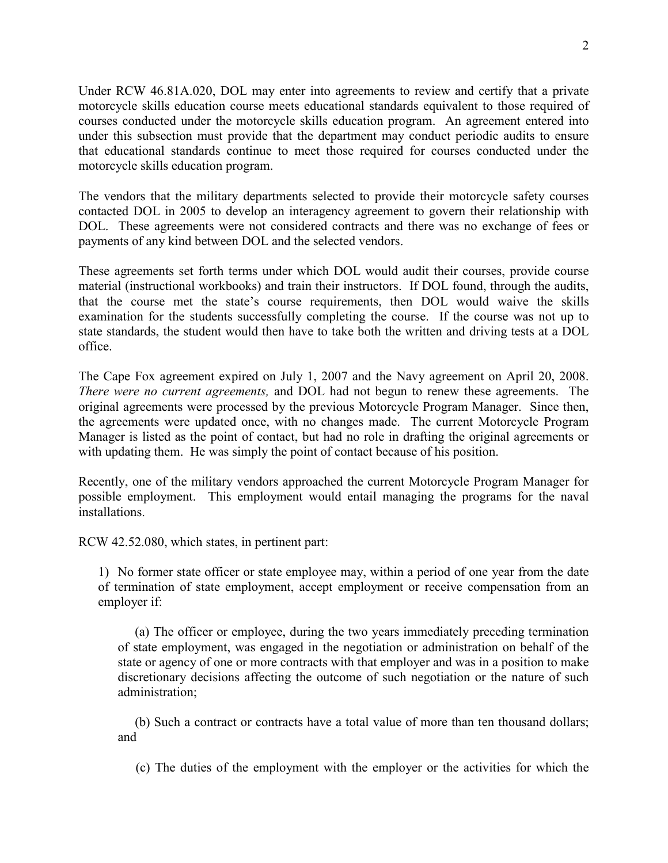Under RCW 46.81A.020, DOL may enter into agreements to review and certify that a private motorcycle skills education course meets educational standards equivalent to those required of courses conducted under the motorcycle skills education program. An agreement entered into under this subsection must provide that the department may conduct periodic audits to ensure that educational standards continue to meet those required for courses conducted under the motorcycle skills education program.

The vendors that the military departments selected to provide their motorcycle safety courses contacted DOL in 2005 to develop an interagency agreement to govern their relationship with DOL. These agreements were not considered contracts and there was no exchange of fees or payments of any kind between DOL and the selected vendors.

These agreements set forth terms under which DOL would audit their courses, provide course material (instructional workbooks) and train their instructors. If DOL found, through the audits, that the course met the state's course requirements, then DOL would waive the skills examination for the students successfully completing the course. If the course was not up to state standards, the student would then have to take both the written and driving tests at a DOL office.

The Cape Fox agreement expired on July 1, 2007 and the Navy agreement on April 20, 2008. *There were no current agreements,* and DOL had not begun to renew these agreements. The original agreements were processed by the previous Motorcycle Program Manager. Since then, the agreements were updated once, with no changes made. The current Motorcycle Program Manager is listed as the point of contact, but had no role in drafting the original agreements or with updating them. He was simply the point of contact because of his position.

Recently, one of the military vendors approached the current Motorcycle Program Manager for possible employment. This employment would entail managing the programs for the naval installations.

RCW 42.52.080, which states, in pertinent part:

1) No former state officer or state employee may, within a period of one year from the date of termination of state employment, accept employment or receive compensation from an employer if:

 (a) The officer or employee, during the two years immediately preceding termination of state employment, was engaged in the negotiation or administration on behalf of the state or agency of one or more contracts with that employer and was in a position to make discretionary decisions affecting the outcome of such negotiation or the nature of such administration;

 (b) Such a contract or contracts have a total value of more than ten thousand dollars; and

(c) The duties of the employment with the employer or the activities for which the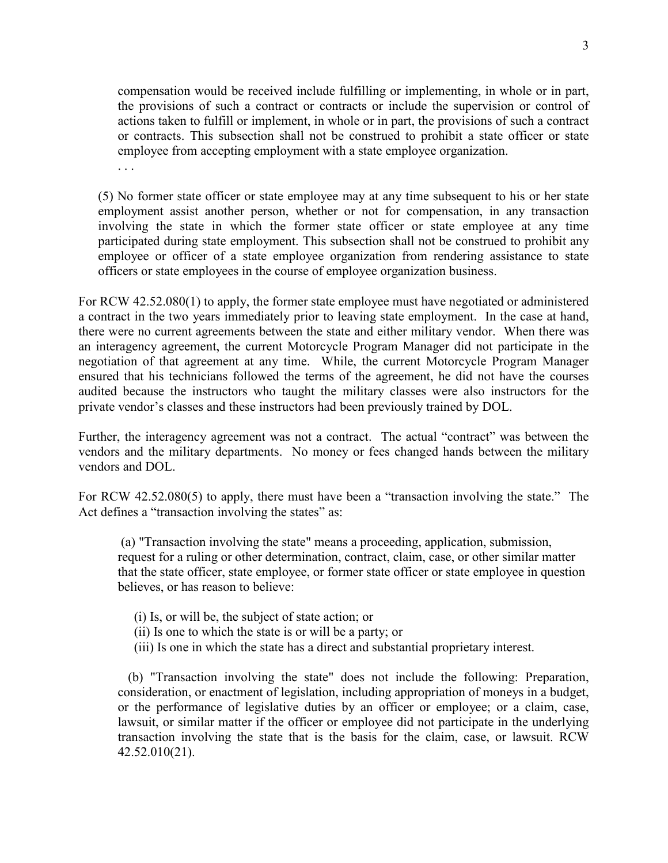compensation would be received include fulfilling or implementing, in whole or in part, the provisions of such a contract or contracts or include the supervision or control of actions taken to fulfill or implement, in whole or in part, the provisions of such a contract or contracts. This subsection shall not be construed to prohibit a state officer or state employee from accepting employment with a state employee organization.

(5) No former state officer or state employee may at any time subsequent to his or her state employment assist another person, whether or not for compensation, in any transaction involving the state in which the former state officer or state employee at any time participated during state employment. This subsection shall not be construed to prohibit any employee or officer of a state employee organization from rendering assistance to state officers or state employees in the course of employee organization business.

For RCW 42.52.080(1) to apply, the former state employee must have negotiated or administered a contract in the two years immediately prior to leaving state employment. In the case at hand, there were no current agreements between the state and either military vendor. When there was an interagency agreement, the current Motorcycle Program Manager did not participate in the negotiation of that agreement at any time. While, the current Motorcycle Program Manager ensured that his technicians followed the terms of the agreement, he did not have the courses audited because the instructors who taught the military classes were also instructors for the private vendor's classes and these instructors had been previously trained by DOL.

Further, the interagency agreement was not a contract. The actual "contract" was between the vendors and the military departments. No money or fees changed hands between the military vendors and DOL.

For RCW 42.52.080(5) to apply, there must have been a "transaction involving the state." The Act defines a "transaction involving the states" as:

(a) "Transaction involving the state" means a proceeding, application, submission, request for a ruling or other determination, contract, claim, case, or other similar matter that the state officer, state employee, or former state officer or state employee in question believes, or has reason to believe:

(i) Is, or will be, the subject of state action; or

. . .

- (ii) Is one to which the state is or will be a party; or
- (iii) Is one in which the state has a direct and substantial proprietary interest.

(b) "Transaction involving the state" does not include the following: Preparation, consideration, or enactment of legislation, including appropriation of moneys in a budget, or the performance of legislative duties by an officer or employee; or a claim, case, lawsuit, or similar matter if the officer or employee did not participate in the underlying transaction involving the state that is the basis for the claim, case, or lawsuit. RCW 42.52.010(21).